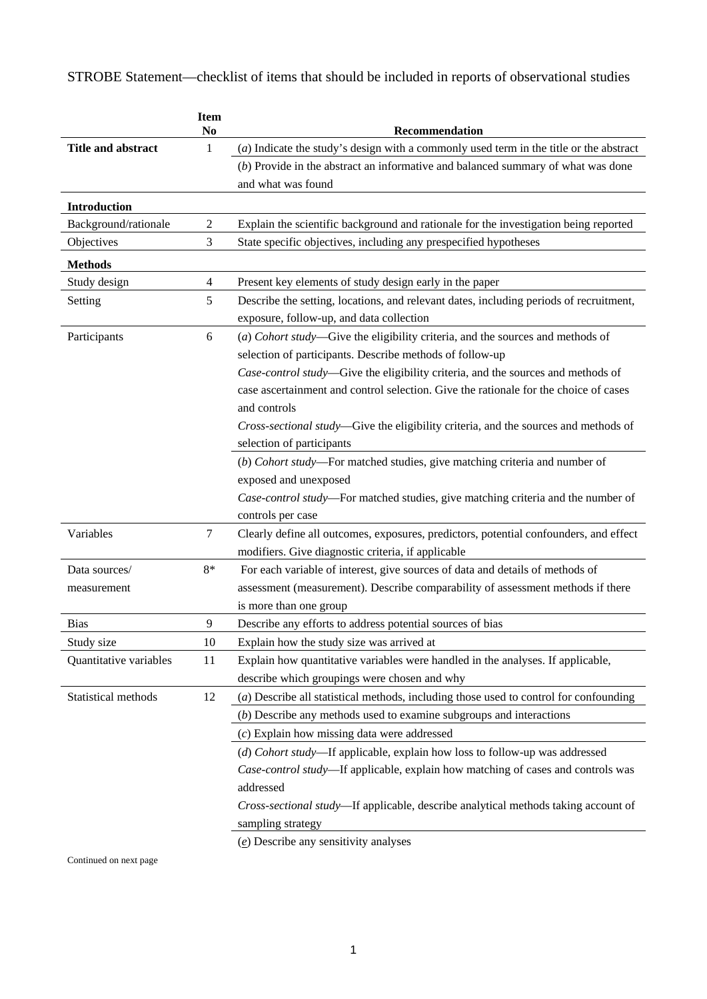STROBE Statement—checklist of items that should be included in reports of observational studies

|                           | <b>Item</b><br>N <sub>0</sub> | Recommendation                                                                                                             |
|---------------------------|-------------------------------|----------------------------------------------------------------------------------------------------------------------------|
| <b>Title and abstract</b> | 1                             | (a) Indicate the study's design with a commonly used term in the title or the abstract                                     |
|                           |                               | $(b)$ Provide in the abstract an informative and balanced summary of what was done                                         |
|                           |                               | and what was found                                                                                                         |
| <b>Introduction</b>       |                               |                                                                                                                            |
| Background/rationale      | 2                             | Explain the scientific background and rationale for the investigation being reported                                       |
| Objectives                | 3                             | State specific objectives, including any prespecified hypotheses                                                           |
|                           |                               |                                                                                                                            |
| <b>Methods</b>            |                               | Present key elements of study design early in the paper                                                                    |
| Study design              | 4                             |                                                                                                                            |
| Setting                   | 5                             | Describe the setting, locations, and relevant dates, including periods of recruitment,                                     |
|                           | 6                             | exposure, follow-up, and data collection<br>(a) Cohort study-Give the eligibility criteria, and the sources and methods of |
| Participants              |                               | selection of participants. Describe methods of follow-up                                                                   |
|                           |                               | Case-control study-Give the eligibility criteria, and the sources and methods of                                           |
|                           |                               | case ascertainment and control selection. Give the rationale for the choice of cases                                       |
|                           |                               | and controls                                                                                                               |
|                           |                               | Cross-sectional study-Give the eligibility criteria, and the sources and methods of                                        |
|                           |                               | selection of participants                                                                                                  |
|                           |                               | (b) Cohort study-For matched studies, give matching criteria and number of                                                 |
|                           |                               | exposed and unexposed                                                                                                      |
|                           |                               | Case-control study-For matched studies, give matching criteria and the number of                                           |
|                           |                               | controls per case                                                                                                          |
| Variables                 | 7                             | Clearly define all outcomes, exposures, predictors, potential confounders, and effect                                      |
|                           |                               | modifiers. Give diagnostic criteria, if applicable                                                                         |
| Data sources/             | $8*$                          | For each variable of interest, give sources of data and details of methods of                                              |
| measurement               |                               | assessment (measurement). Describe comparability of assessment methods if there                                            |
|                           |                               | is more than one group                                                                                                     |
| <b>Bias</b>               | 9                             | Describe any efforts to address potential sources of bias                                                                  |
| Study size                | 10                            | Explain how the study size was arrived at                                                                                  |
| Quantitative variables    | 11                            | Explain how quantitative variables were handled in the analyses. If applicable,                                            |
|                           |                               | describe which groupings were chosen and why                                                                               |
| Statistical methods       | 12                            | $(a)$ Describe all statistical methods, including those used to control for confounding                                    |
|                           |                               | $(b)$ Describe any methods used to examine subgroups and interactions                                                      |
|                           |                               | $(c)$ Explain how missing data were addressed                                                                              |
|                           |                               | (d) Cohort study-If applicable, explain how loss to follow-up was addressed                                                |
|                           |                               | Case-control study-If applicable, explain how matching of cases and controls was                                           |
|                           |                               | addressed                                                                                                                  |
|                           |                               | Cross-sectional study—If applicable, describe analytical methods taking account of                                         |
|                           |                               | sampling strategy                                                                                                          |
|                           |                               | $(e)$ Describe any sensitivity analyses                                                                                    |

Continued on next page